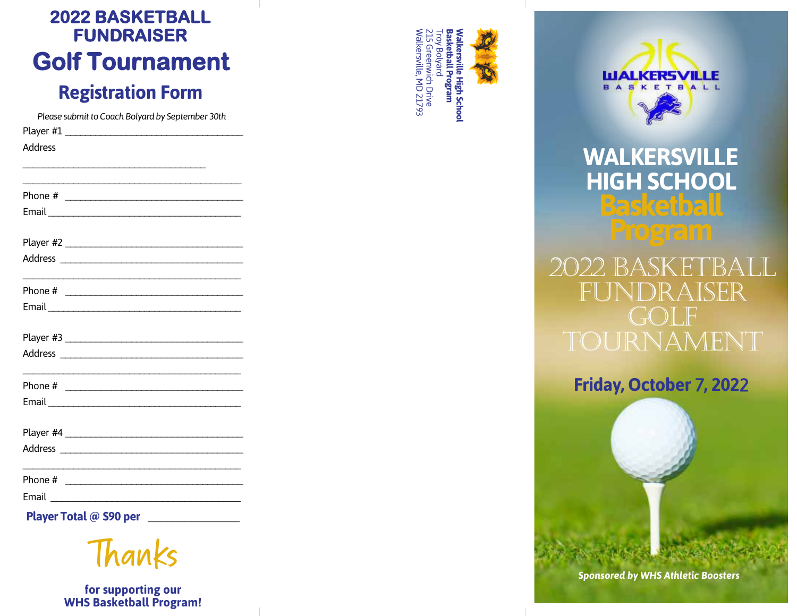# **2022 BASKETBALL FUNDRAISER Golf Tournament**

# **Registration Form**

*Please submit to C o ach Bolyard by September 30th*

| Player #1                 |  |
|---------------------------|--|
| Address                   |  |
|                           |  |
|                           |  |
|                           |  |
|                           |  |
|                           |  |
|                           |  |
|                           |  |
|                           |  |
|                           |  |
|                           |  |
|                           |  |
|                           |  |
|                           |  |
|                           |  |
|                           |  |
|                           |  |
|                           |  |
|                           |  |
|                           |  |
|                           |  |
|                           |  |
|                           |  |
| Player Total @ \$90 per _ |  |

Thanks

**for supporting our WHS Basketball Program!**





**Basketball WALKERSVILLE HIGH SCHOOL**

2022 basketball drais  $\mathbb{F}$  ( ) tournament

**Fr i d ay, October**  7**, 202** 2

*Sponsored by WHS Athletic Boosters*